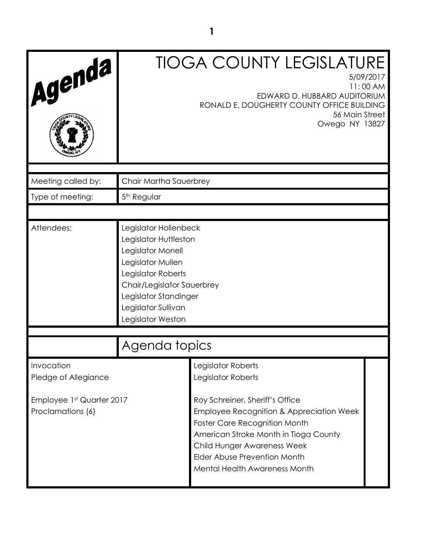| Agenda                                                                               |                                                                                                                                                                                                                   | <b>TIOGA COUNTY LEGISLATURE</b><br>EDWARD D. HUBBARD AUDITORIUM<br>RONALD E. DOUGHERTY COUNTY OFFICE BUILDING<br>56 Main Street<br>Owego NY 13827                                                                                                                                                        | 5/09/2017<br>11:00 AM |
|--------------------------------------------------------------------------------------|-------------------------------------------------------------------------------------------------------------------------------------------------------------------------------------------------------------------|----------------------------------------------------------------------------------------------------------------------------------------------------------------------------------------------------------------------------------------------------------------------------------------------------------|-----------------------|
| Meeting called by:                                                                   | Chair Martha Sauerbrey                                                                                                                                                                                            |                                                                                                                                                                                                                                                                                                          |                       |
| Type of meeting:                                                                     | 5 <sup>th</sup> Regular                                                                                                                                                                                           |                                                                                                                                                                                                                                                                                                          |                       |
|                                                                                      |                                                                                                                                                                                                                   |                                                                                                                                                                                                                                                                                                          |                       |
| Attendees:                                                                           | Legislator Hollenbeck<br>Legislator Huttleston<br>Legislator Monell<br>Legislator Mullen<br>Legislator Roberts<br>Chair/Legislator Sauerbrey<br>Legislator Standinger<br>Legislator Sullivan<br>Legislator Weston |                                                                                                                                                                                                                                                                                                          |                       |
|                                                                                      | Agenda topics                                                                                                                                                                                                     |                                                                                                                                                                                                                                                                                                          |                       |
| Invocation<br>Pledge of Allegiance<br>Employee 1st Quarter 2017<br>Proclamations (6) |                                                                                                                                                                                                                   | Legislator Roberts<br>Legislator Roberts<br>Roy Schreiner, Sheriff's Office<br>Employee Recognition & Appreciation Week<br><b>Foster Care Recognition Month</b><br>American Stroke Month in Tioga County<br>Child Hunger Awareness Week<br>Elder Abuse Prevention Month<br>Mental Health Awareness Month |                       |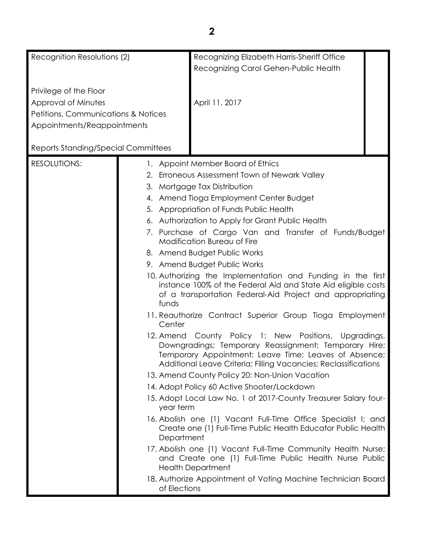| Recognition Resolutions (2)         |              | Recognizing Elizabeth Harris-Sheriff Office                                                                                                                                                                                                   |
|-------------------------------------|--------------|-----------------------------------------------------------------------------------------------------------------------------------------------------------------------------------------------------------------------------------------------|
|                                     |              | Recognizing Carol Gehen-Public Health                                                                                                                                                                                                         |
|                                     |              |                                                                                                                                                                                                                                               |
| Privilege of the Floor              |              |                                                                                                                                                                                                                                               |
| Approval of Minutes                 |              | April 11, 2017                                                                                                                                                                                                                                |
| Petitions, Communications & Notices |              |                                                                                                                                                                                                                                               |
| Appointments/Reappointments         |              |                                                                                                                                                                                                                                               |
| Reports Standing/Special Committees |              |                                                                                                                                                                                                                                               |
| <b>RESOLUTIONS:</b>                 |              | 1. Appoint Member Board of Ethics                                                                                                                                                                                                             |
|                                     |              | 2. Erroneous Assessment Town of Newark Valley                                                                                                                                                                                                 |
|                                     |              | 3. Mortgage Tax Distribution                                                                                                                                                                                                                  |
|                                     |              | 4. Amend Tioga Employment Center Budget                                                                                                                                                                                                       |
|                                     |              | 5. Appropriation of Funds Public Health                                                                                                                                                                                                       |
|                                     |              | 6. Authorization to Apply for Grant Public Health                                                                                                                                                                                             |
|                                     |              | 7. Purchase of Cargo Van and Transfer of Funds/Budget                                                                                                                                                                                         |
|                                     |              | <b>Modification Bureau of Fire</b>                                                                                                                                                                                                            |
|                                     |              | 8. Amend Budget Public Works                                                                                                                                                                                                                  |
|                                     |              | 9. Amend Budget Public Works                                                                                                                                                                                                                  |
|                                     | funds        | 10. Authorizing the Implementation and Funding in the first<br>instance 100% of the Federal Aid and State Aid eligible costs<br>of a transportation Federal-Aid Project and appropriating                                                     |
|                                     | Center       | 11. Reauthorize Contract Superior Group Tioga Employment                                                                                                                                                                                      |
|                                     |              | 12. Amend County Policy 1: New Positions,<br>Upgradings,<br>Downgradings; Temporary Reassignment; Temporary Hire;<br>Temporary Appointment; Leave Time; Leaves of Absence;<br>Additional Leave Criteria; Filling Vacancies; Reclassifications |
|                                     |              | 13. Amend County Policy 20: Non-Union Vacation                                                                                                                                                                                                |
|                                     |              | 14. Adopt Policy 60 Active Shooter/Lockdown                                                                                                                                                                                                   |
|                                     | year term    | 15. Adopt Local Law No. 1 of 2017-County Treasurer Salary four-                                                                                                                                                                               |
|                                     | Department   | 16. Abolish one (1) Vacant Full-Time Office Specialist I; and<br>Create one (1) Full-Time Public Health Educator Public Health                                                                                                                |
|                                     |              | 17. Abolish one (1) Vacant Full-Time Community Health Nurse;<br>and Create one (1) Full-Time Public Health Nurse Public<br><b>Health Department</b>                                                                                           |
|                                     | of Elections | 18. Authorize Appointment of Voting Machine Technician Board                                                                                                                                                                                  |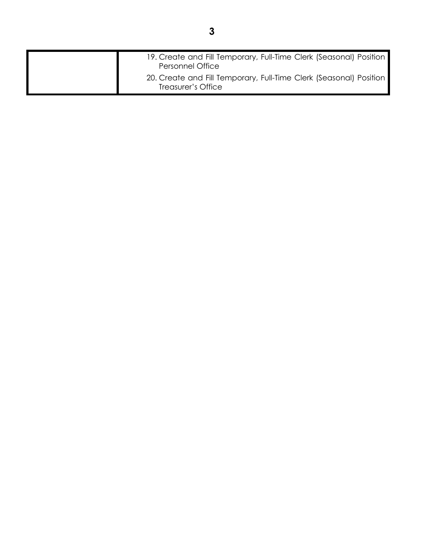| 19. Create and Fill Temporary, Full-Time Clerk (Seasonal) Position                                                  |
|---------------------------------------------------------------------------------------------------------------------|
| <b>Personnel Office</b><br>20. Create and Fill Temporary, Full-Time Clerk (Seasonal) Position<br>Treasurer's Office |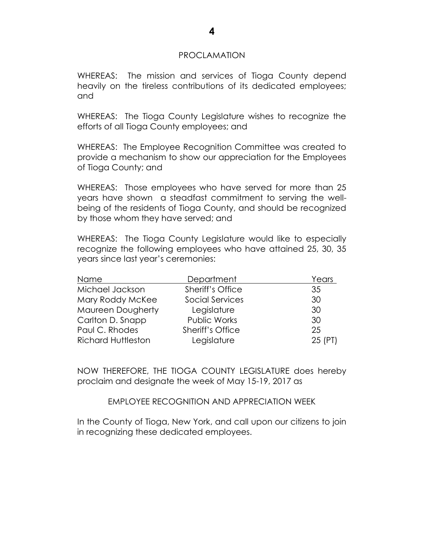#### PROCLAMATION

WHEREAS: The mission and services of Tioga County depend heavily on the tireless contributions of its dedicated employees; and

WHEREAS: The Tioga County Legislature wishes to recognize the efforts of all Tioga County employees; and

WHEREAS: The Employee Recognition Committee was created to provide a mechanism to show our appreciation for the Employees of Tioga County; and

WHEREAS: Those employees who have served for more than 25 years have shown a steadfast commitment to serving the wellbeing of the residents of Tioga County, and should be recognized by those whom they have served; and

WHEREAS: The Tioga County Legislature would like to especially recognize the following employees who have attained 25, 30, 35 years since last year's ceremonies:

| Name                      | Department              | Years   |
|---------------------------|-------------------------|---------|
| Michael Jackson           | <b>Sheriff's Office</b> | 35      |
| Mary Roddy McKee          | <b>Social Services</b>  | 30      |
| <b>Maureen Dougherty</b>  | Legislature             | 30      |
| Carlton D. Snapp          | Public Works            | 30      |
| Paul C. Rhodes            | Sheriff's Office        | 25      |
| <b>Richard Huttleston</b> | Legislature             | 25 (PT) |

NOW THEREFORE, THE TIOGA COUNTY LEGISLATURE does hereby proclaim and designate the week of May 15-19, 2017 as

EMPLOYEE RECOGNITION AND APPRECIATION WEEK

In the County of Tioga, New York, and call upon our citizens to join in recognizing these dedicated employees.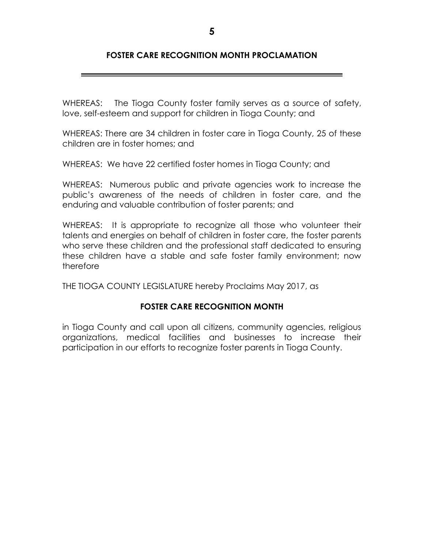## **FOSTER CARE RECOGNITION MONTH PROCLAMATION**

WHEREAS: The Tioga County foster family serves as a source of safety, love, self-esteem and support for children in Tioga County; and

WHEREAS: There are 34 children in foster care in Tioga County, 25 of these children are in foster homes; and

WHEREAS: We have 22 certified foster homes in Tioga County; and

WHEREAS: Numerous public and private agencies work to increase the public's awareness of the needs of children in foster care, and the enduring and valuable contribution of foster parents; and

WHEREAS: It is appropriate to recognize all those who volunteer their talents and energies on behalf of children in foster care, the foster parents who serve these children and the professional staff dedicated to ensuring these children have a stable and safe foster family environment; now therefore

THE TIOGA COUNTY LEGISLATURE hereby Proclaims May 2017, as

## **FOSTER CARE RECOGNITION MONTH**

in Tioga County and call upon all citizens, community agencies, religious organizations, medical facilities and businesses to increase their participation in our efforts to recognize foster parents in Tioga County.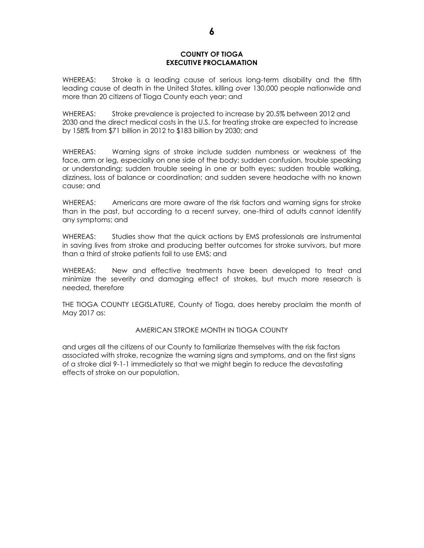#### **COUNTY OF TIOGA EXECUTIVE PROCLAMATION**

WHEREAS: Stroke is a leading cause of serious long-term disability and the fifth leading cause of death in the United States, killing over 130,000 people nationwide and more than 20 citizens of Tioga County each year; and

WHEREAS: Stroke prevalence is projected to increase by 20.5% between 2012 and 2030 and the direct medical costs in the U.S. for treating stroke are expected to increase by 158% from \$71 billion in 2012 to \$183 billion by 2030; and

WHEREAS: Warning signs of stroke include sudden numbness or weakness of the face, arm or leg, especially on one side of the body; sudden confusion, trouble speaking or understanding; sudden trouble seeing in one or both eyes; sudden trouble walking, dizziness, loss of balance or coordination; and sudden severe headache with no known cause; and

WHEREAS: Americans are more aware of the risk factors and warning signs for stroke than in the past, but according to a recent survey, one-third of adults cannot identify any symptoms; and

WHEREAS: Studies show that the quick actions by EMS professionals are instrumental in saving lives from stroke and producing better outcomes for stroke survivors, but more than a third of stroke patients fail to use EMS; and

WHEREAS: New and effective treatments have been developed to treat and minimize the severity and damaging effect of strokes, but much more research is needed, therefore

THE TIOGA COUNTY LEGISLATURE, County of Tioga, does hereby proclaim the month of May 2017 as:

#### AMERICAN STROKE MONTH IN TIOGA COUNTY

and urges all the citizens of our County to familiarize themselves with the risk factors associated with stroke, recognize the warning signs and symptoms, and on the first signs of a stroke dial 9-1-1 immediately so that we might begin to reduce the devastating effects of stroke on our population.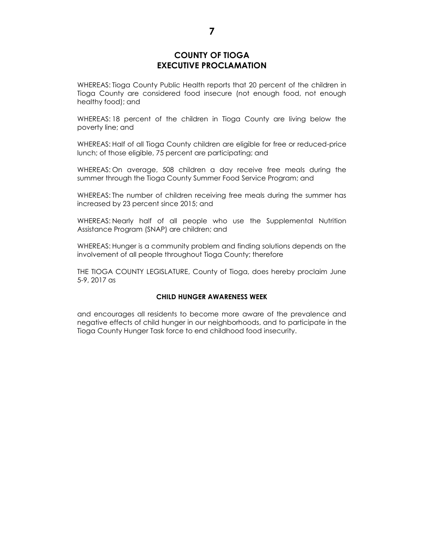## **COUNTY OF TIOGA EXECUTIVE PROCLAMATION**

WHEREAS: Tioga County Public Health reports that 20 percent of the children in Tioga County are considered food insecure (not enough food, not enough healthy food); and

WHEREAS: 18 percent of the children in Tioga County are living below the poverty line; and

WHEREAS: Half of all Tioga County children are eligible for free or reduced-price lunch; of those eligible, 75 percent are participating; and

WHEREAS: On average, 508 children a day receive free meals during the summer through the Tioga County Summer Food Service Program; and

WHEREAS: The number of children receiving free meals during the summer has increased by 23 percent since 2015; and

WHEREAS: Nearly half of all people who use the Supplemental Nutrition Assistance Program (SNAP) are children; and

WHEREAS: Hunger is a community problem and finding solutions depends on the involvement of all people throughout Tioga County; therefore

THE TIOGA COUNTY LEGISLATURE, County of Tioga, does hereby proclaim June 5-9, 2017 as

#### **CHILD HUNGER AWARENESS WEEK**

and encourages all residents to become more aware of the prevalence and negative effects of child hunger in our neighborhoods, and to participate in the Tioga County Hunger Task force to end childhood food insecurity.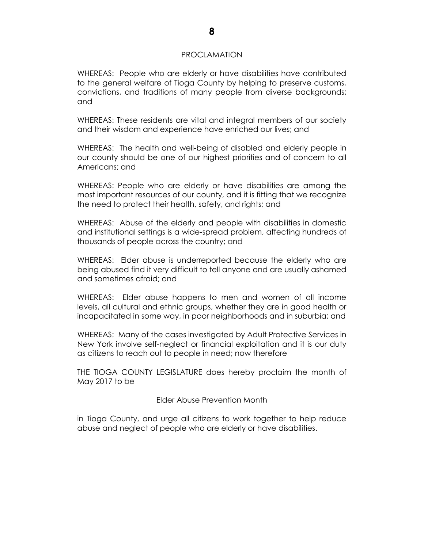#### PROCLAMATION

WHEREAS: People who are elderly or have disabilities have contributed to the general welfare of Tioga County by helping to preserve customs, convictions, and traditions of many people from diverse backgrounds; and

WHEREAS: These residents are vital and integral members of our society and their wisdom and experience have enriched our lives; and

WHEREAS: The health and well-being of disabled and elderly people in our county should be one of our highest priorities and of concern to all Americans; and

WHEREAS: People who are elderly or have disabilities are among the most important resources of our county, and it is fitting that we recognize the need to protect their health, safety, and rights; and

WHEREAS: Abuse of the elderly and people with disabilities in domestic and institutional settings is a wide-spread problem, affecting hundreds of thousands of people across the country; and

WHEREAS: Elder abuse is underreported because the elderly who are being abused find it very difficult to tell anyone and are usually ashamed and sometimes afraid; and

WHEREAS: Elder abuse happens to men and women of all income levels, all cultural and ethnic groups, whether they are in good health or incapacitated in some way, in poor neighborhoods and in suburbia; and

WHEREAS: Many of the cases investigated by Adult Protective Services in New York involve self-neglect or financial exploitation and it is our duty as citizens to reach out to people in need; now therefore

THE TIOGA COUNTY LEGISLATURE does hereby proclaim the month of May 2017 to be

Elder Abuse Prevention Month

in Tioga County, and urge all citizens to work together to help reduce abuse and neglect of people who are elderly or have disabilities.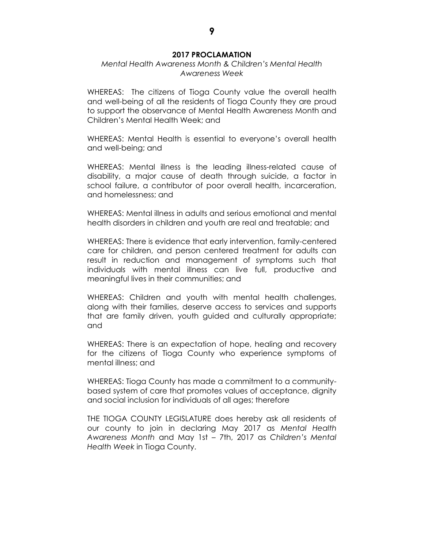#### **2017 PROCLAMATION**

#### *Mental Health Awareness Month & Children's Mental Health Awareness Week*

WHEREAS: The citizens of Tioga County value the overall health and well-being of all the residents of Tioga County they are proud to support the observance of Mental Health Awareness Month and Children's Mental Health Week; and

WHEREAS: Mental Health is essential to everyone's overall health and well-being; and

WHEREAS: Mental illness is the leading illness-related cause of disability, a major cause of death through suicide, a factor in school failure, a contributor of poor overall health, incarceration, and homelessness; and

WHEREAS: Mental illness in adults and serious emotional and mental health disorders in children and youth are real and treatable; and

WHEREAS: There is evidence that early intervention, family-centered care for children, and person centered treatment for adults can result in reduction and management of symptoms such that individuals with mental illness can live full, productive and meaningful lives in their communities; and

WHEREAS: Children and youth with mental health challenges, along with their families, deserve access to services and supports that are family driven, youth guided and culturally appropriate; and

WHEREAS: There is an expectation of hope, healing and recovery for the citizens of Tioga County who experience symptoms of mental illness; and

WHEREAS: Tioga County has made a commitment to a communitybased system of care that promotes values of acceptance, dignity and social inclusion for individuals of all ages; therefore

THE TIOGA COUNTY LEGISLATURE does hereby ask all residents of our county to join in declaring May 2017 as *Mental Health Awareness Month* and May 1st – 7th, 2017 as *Children's Mental Health Week* in Tioga County.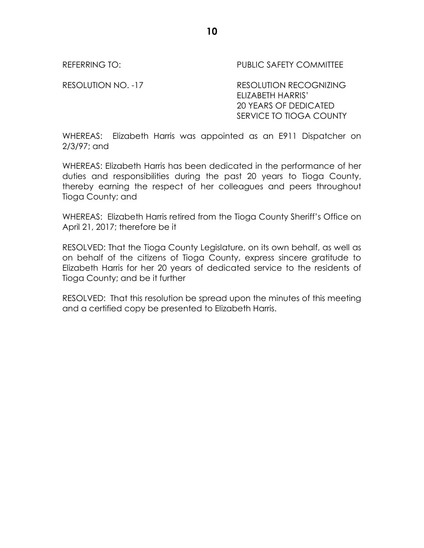REFERRING TO: The PUBLIC SAFETY COMMITTEE

RESOLUTION NO. -17 RESOLUTION RECOGNIZING ELIZABETH HARRIS' 20 YEARS OF DEDICATED SERVICE TO TIOGA COUNTY

WHEREAS: Elizabeth Harris was appointed as an E911 Dispatcher on 2/3/97; and

WHEREAS: Elizabeth Harris has been dedicated in the performance of her duties and responsibilities during the past 20 years to Tioga County, thereby earning the respect of her colleagues and peers throughout Tioga County; and

WHEREAS: Elizabeth Harris retired from the Tioga County Sheriff's Office on April 21, 2017; therefore be it

RESOLVED: That the Tioga County Legislature, on its own behalf, as well as on behalf of the citizens of Tioga County, express sincere gratitude to Elizabeth Harris for her 20 years of dedicated service to the residents of Tioga County; and be it further

RESOLVED: That this resolution be spread upon the minutes of this meeting and a certified copy be presented to Elizabeth Harris.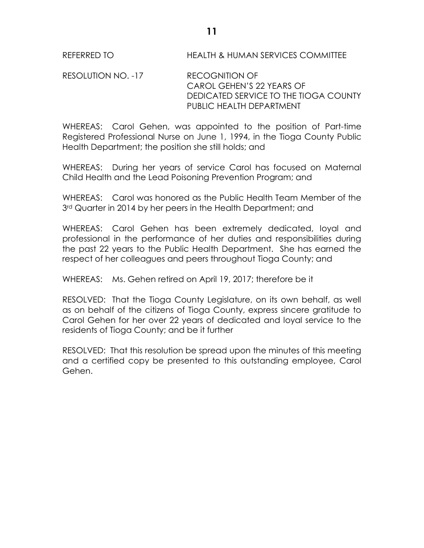REFERRED TO HEALTH & HUMAN SERVICES COMMITTEE

RESOLUTION NO. -17 RECOGNITION OF CAROL GEHEN'S 22 YEARS OF DEDICATED SERVICE TO THE TIOGA COUNTY PUBLIC HEALTH DEPARTMENT

WHEREAS: Carol Gehen, was appointed to the position of Part-time Registered Professional Nurse on June 1, 1994, in the Tioga County Public Health Department; the position she still holds; and

WHEREAS: During her years of service Carol has focused on Maternal Child Health and the Lead Poisoning Prevention Program; and

WHEREAS: Carol was honored as the Public Health Team Member of the 3<sup>rd</sup> Quarter in 2014 by her peers in the Health Department; and

WHEREAS: Carol Gehen has been extremely dedicated, loyal and professional in the performance of her duties and responsibilities during the past 22 years to the Public Health Department. She has earned the respect of her colleagues and peers throughout Tioga County; and

WHEREAS: Ms. Gehen retired on April 19, 2017; therefore be it

RESOLVED: That the Tioga County Legislature, on its own behalf, as well as on behalf of the citizens of Tioga County, express sincere gratitude to Carol Gehen for her over 22 years of dedicated and loyal service to the residents of Tioga County; and be it further

RESOLVED: That this resolution be spread upon the minutes of this meeting and a certified copy be presented to this outstanding employee, Carol Gehen.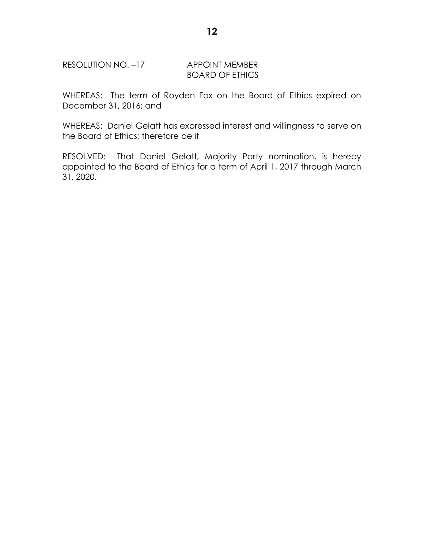## RESOLUTION NO. -17 APPOINT MEMBER

# BOARD OF ETHICS

WHEREAS: The term of Royden Fox on the Board of Ethics expired on December 31, 2016; and

WHEREAS: Daniel Gelatt has expressed interest and willingness to serve on the Board of Ethics; therefore be it

RESOLVED: That Daniel Gelatt, Majority Party nomination, is hereby appointed to the Board of Ethics for a term of April 1, 2017 through March 31, 2020.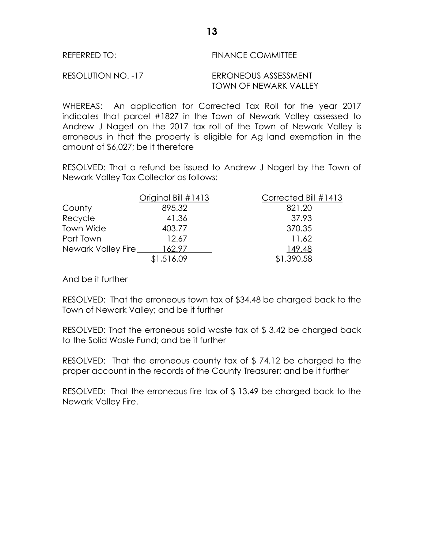| REFERRED TO: | <b>FINANCE COMMITTEE</b> |
|--------------|--------------------------|
|              |                          |

RESOLUTION NO. -17 ERRONEOUS ASSESSMENT

TOWN OF NEWARK VALLEY

WHEREAS: An application for Corrected Tax Roll for the year 2017 indicates that parcel #1827 in the Town of Newark Valley assessed to Andrew J Nagerl on the 2017 tax roll of the Town of Newark Valley is erroneous in that the property is eligible for Ag land exemption in the amount of \$6,027; be it therefore

RESOLVED: That a refund be issued to Andrew J Nagerl by the Town of Newark Valley Tax Collector as follows:

|                    | Original Bill #1413 | Corrected Bill #1413 |
|--------------------|---------------------|----------------------|
| County             | 895.32              | 821.20               |
| Recycle            | 41.36               | 37.93                |
| Town Wide          | 403.77              | 370.35               |
| Part Town          | 12.67               | 11.62                |
| Newark Valley Fire | 162.97              | 149.48               |
|                    | \$1,516.09          | \$1,390.58           |

And be it further

RESOLVED: That the erroneous town tax of \$34.48 be charged back to the Town of Newark Valley; and be it further

RESOLVED: That the erroneous solid waste tax of \$ 3.42 be charged back to the Solid Waste Fund; and be it further

RESOLVED: That the erroneous county tax of \$ 74.12 be charged to the proper account in the records of the County Treasurer; and be it further

RESOLVED: That the erroneous fire tax of \$ 13.49 be charged back to the Newark Valley Fire.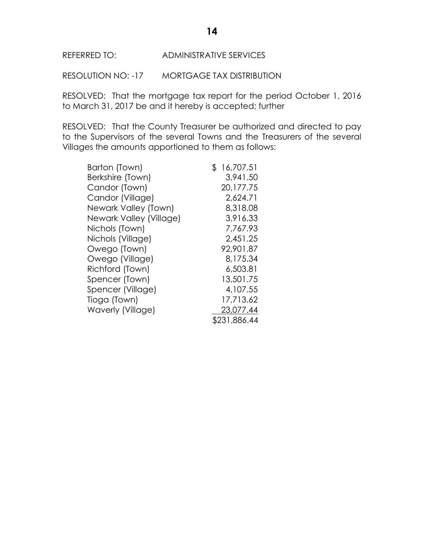RESOLUTION NO: -17 MORTGAGE TAX DISTRIBUTION

RESOLVED: That the mortgage tax report for the period October 1, 2016 to March 31, 2017 be and it hereby is accepted; further

RESOLVED: That the County Treasurer be authorized and directed to pay to the Supervisors of the several Towns and the Treasurers of the several Villages the amounts apportioned to them as follows:

| Barton (Town)           | \$<br>16,707.51 |
|-------------------------|-----------------|
| Berkshire (Town)        | 3,941.50        |
| Candor (Town)           | 20,177.75       |
| Candor (Village)        | 2,624.71        |
| Newark Valley (Town)    | 8,318.08        |
| Newark Valley (Village) | 3,916.33        |
| Nichols (Town)          | 7,767.93        |
| Nichols (Village)       | 2,451.25        |
| Owego (Town)            | 92,901.87       |
| Owego (Village)         | 8,175.34        |
| Richford (Town)         | 6,503.81        |
| Spencer (Town)          | 13,501.75       |
| Spencer (Village)       | 4,107.55        |
| Tioga (Town)            | 17,713.62       |
| Waverly (Village)       | 23,077.44       |
|                         | \$231,886.44    |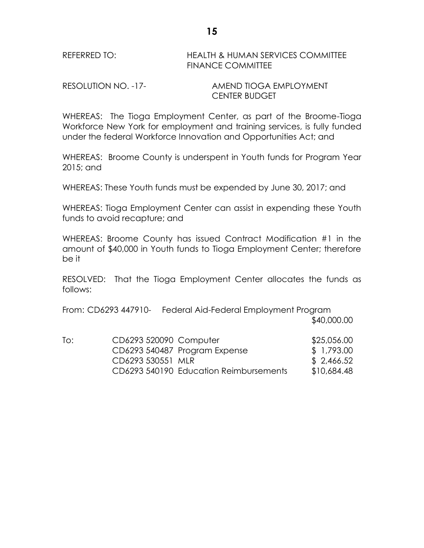RESOLUTION NO. -17- AMEND TIOGA EMPLOYMENT CENTER BUDGET

WHEREAS: The Tioga Employment Center, as part of the Broome-Tioga Workforce New York for employment and training services, is fully funded under the federal Workforce Innovation and Opportunities Act; and

WHEREAS: Broome County is underspent in Youth funds for Program Year 2015; and

WHEREAS: These Youth funds must be expended by June 30, 2017; and

WHEREAS: Tioga Employment Center can assist in expending these Youth funds to avoid recapture; and

WHEREAS: Broome County has issued Contract Modification #1 in the amount of \$40,000 in Youth funds to Tioga Employment Center; therefore be it

RESOLVED: That the Tioga Employment Center allocates the funds as follows:

From: CD6293 447910- Federal Aid-Federal Employment Program \$40,000.00

| To: | CD6293 520090 Computer |                                        | \$25,056.00 |
|-----|------------------------|----------------------------------------|-------------|
|     |                        | CD6293 540487 Program Expense          | \$ 1,793.00 |
|     | CD6293 530551 MLR      |                                        | \$2,466.52  |
|     |                        | CD6293 540190 Education Reimbursements | \$10,684.48 |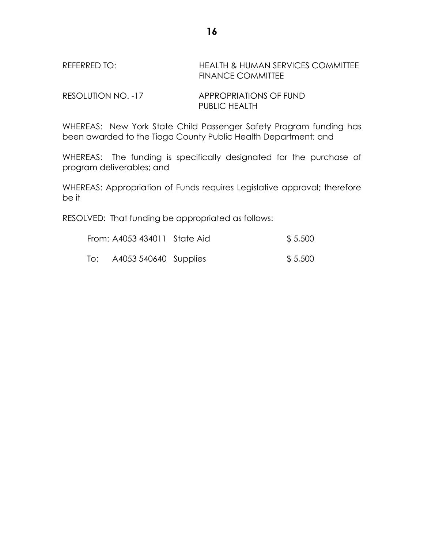# REFERRED TO: HEALTH & HUMAN SERVICES COMMITTEE FINANCE COMMITTEE

RESOLUTION NO. -17 APPROPRIATIONS OF FUND PUBLIC HEALTH

WHEREAS: New York State Child Passenger Safety Program funding has been awarded to the Tioga County Public Health Department; and

WHEREAS: The funding is specifically designated for the purchase of program deliverables; and

WHEREAS: Appropriation of Funds requires Legislative approval; therefore be it

RESOLVED: That funding be appropriated as follows:

|     | From: A4053 434011 State Aid | \$5,500 |
|-----|------------------------------|---------|
| To: | A4053 540640 Supplies        | \$5,500 |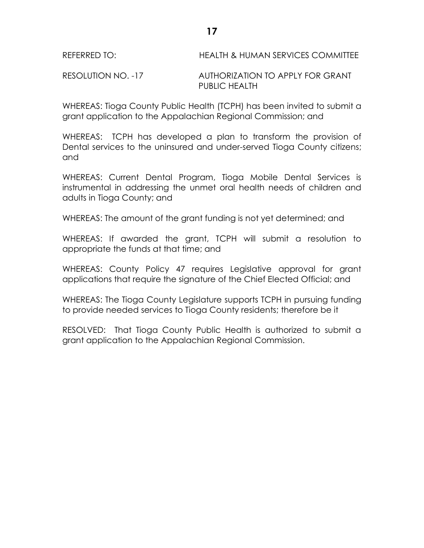RESOLUTION NO. -17 AUTHORIZATION TO APPLY FOR GRANT PUBLIC HEALTH

WHEREAS: Tioga County Public Health (TCPH) has been invited to submit a grant application to the Appalachian Regional Commission; and

WHEREAS: TCPH has developed a plan to transform the provision of Dental services to the uninsured and under-served Tioga County citizens; and

WHEREAS: Current Dental Program, Tioga Mobile Dental Services is instrumental in addressing the unmet oral health needs of children and adults in Tioga County; and

WHEREAS: The amount of the grant funding is not yet determined; and

WHEREAS: If awarded the grant, TCPH will submit a resolution to appropriate the funds at that time; and

WHEREAS: County Policy 47 requires Legislative approval for grant applications that require the signature of the Chief Elected Official; and

WHEREAS: The Tioga County Legislature supports TCPH in pursuing funding to provide needed services to Tioga County residents; therefore be it

RESOLVED: That Tioga County Public Health is authorized to submit a grant application to the Appalachian Regional Commission.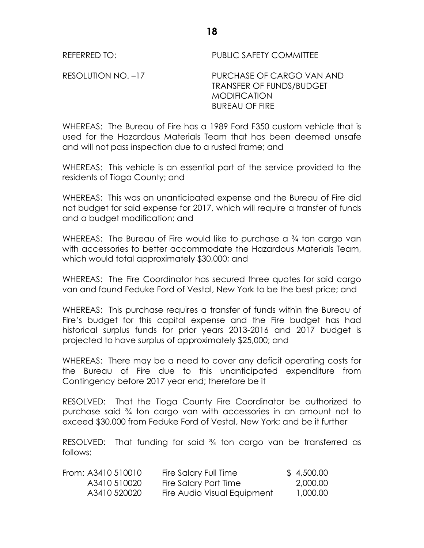REFERRED TO: PUBLIC SAFETY COMMITTEE

RESOLUTION NO. –17 PURCHASE OF CARGO VAN AND TRANSFER OF FUNDS/BUDGET MODIFICATION BUREAU OF FIRE

WHEREAS: The Bureau of Fire has a 1989 Ford F350 custom vehicle that is used for the Hazardous Materials Team that has been deemed unsafe and will not pass inspection due to a rusted frame; and

WHEREAS: This vehicle is an essential part of the service provided to the residents of Tioga County; and

WHEREAS: This was an unanticipated expense and the Bureau of Fire did not budget for said expense for 2017, which will require a transfer of funds and a budget modification; and

WHEREAS: The Bureau of Fire would like to purchase a <sup>3</sup>/4 ton cargo van with accessories to better accommodate the Hazardous Materials Team, which would total approximately \$30,000; and

WHEREAS: The Fire Coordinator has secured three quotes for said cargo van and found Feduke Ford of Vestal, New York to be the best price; and

WHEREAS: This purchase requires a transfer of funds within the Bureau of Fire's budget for this capital expense and the Fire budget has had historical surplus funds for prior years 2013-2016 and 2017 budget is projected to have surplus of approximately \$25,000; and

WHEREAS: There may be a need to cover any deficit operating costs for the Bureau of Fire due to this unanticipated expenditure from Contingency before 2017 year end; therefore be it

RESOLVED: That the Tioga County Fire Coordinator be authorized to purchase said ¾ ton cargo van with accessories in an amount not to exceed \$30,000 from Feduke Ford of Vestal, New York; and be it further

RESOLVED: That funding for said ¾ ton cargo van be transferred as follows:

| From: A3410 510010 | Fire Salary Full Time       | \$4,500.00 |
|--------------------|-----------------------------|------------|
| A3410 510020       | Fire Salary Part Time       | 2,000.00   |
| A3410 520020       | Fire Audio Visual Equipment | 1,000.00   |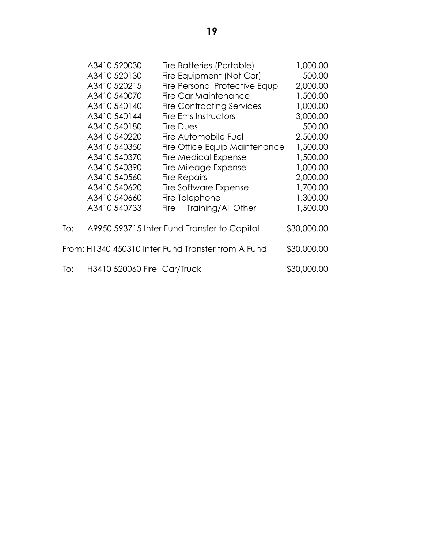|     | A3410 520030                | Fire Batteries (Portable)                          | 1,000.00    |
|-----|-----------------------------|----------------------------------------------------|-------------|
|     | A3410 520130                | Fire Equipment (Not Car)                           | 500.00      |
|     | A3410 520215                | Fire Personal Protective Equp                      | 2,000.00    |
|     | A3410 540070                | Fire Car Maintenance                               | 1,500.00    |
|     | A3410 540140                | <b>Fire Contracting Services</b>                   | 1,000.00    |
|     | A3410 540144                | Fire Ems Instructors                               | 3,000.00    |
|     | A3410 540180                | Fire Dues                                          | 500.00      |
|     | A3410 540220                | Fire Automobile Fuel                               | 2,500.00    |
|     | A3410 540350                | Fire Office Equip Maintenance                      | 1,500.00    |
|     | A3410 540370                | <b>Fire Medical Expense</b>                        | 1,500.00    |
|     | A3410 540390                | Fire Mileage Expense                               | 1,000.00    |
|     | A3410 540560                | <b>Fire Repairs</b>                                | 2,000.00    |
|     | A3410 540620                | Fire Software Expense                              | 1,700.00    |
|     | A3410 540660                | Fire Telephone                                     | 1,300.00    |
|     | A3410 540733                | Training/All Other<br>Fire                         | 1,500.00    |
| To: |                             | A9950 593715 Inter Fund Transfer to Capital        | \$30,000.00 |
|     |                             | From: H1340 450310 Inter Fund Transfer from A Fund | \$30,000.00 |
| To: | H3410 520060 Fire Car/Truck |                                                    | \$30,000.00 |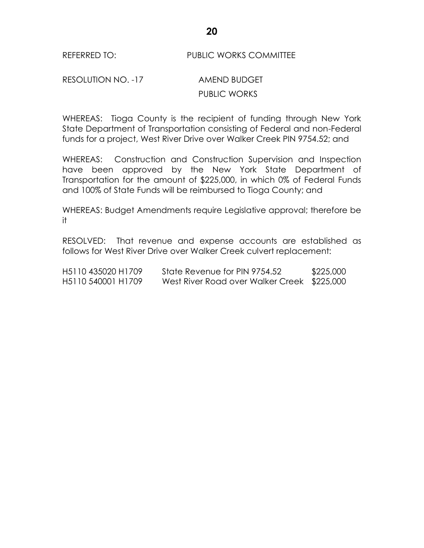## REFERRED TO: PUBLIC WORKS COMMITTEE

# RESOLUTION NO. -17 AMEND BUDGET PUBLIC WORKS

WHEREAS: Tioga County is the recipient of funding through New York State Department of Transportation consisting of Federal and non-Federal funds for a project, West River Drive over Walker Creek PIN 9754.52; and

WHEREAS: Construction and Construction Supervision and Inspection have been approved by the New York State Department of Transportation for the amount of \$225,000, in which 0% of Federal Funds and 100% of State Funds will be reimbursed to Tioga County; and

WHEREAS: Budget Amendments require Legislative approval; therefore be it

RESOLVED: That revenue and expense accounts are established as follows for West River Drive over Walker Creek culvert replacement:

| H <sub>5</sub> 110 435020 H <sub>1709</sub> | State Revenue for PIN 9754.52               | \$225,000 |
|---------------------------------------------|---------------------------------------------|-----------|
| H <sub>5</sub> 110 540001 H <sub>1709</sub> | West River Road over Walker Creek \$225,000 |           |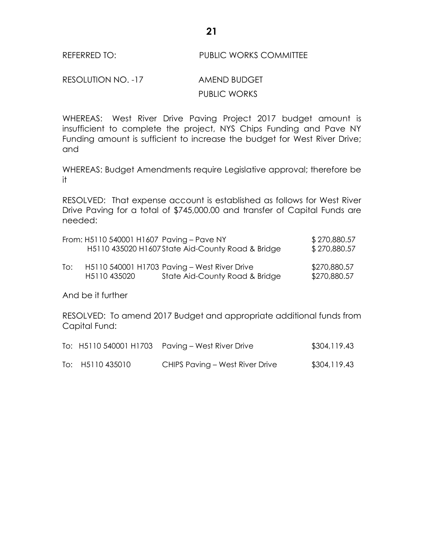## REFERRED TO: PUBLIC WORKS COMMITTEE

RESOLUTION NO. -17 AMEND BUDGET PUBLIC WORKS

WHEREAS: West River Drive Paving Project 2017 budget amount is insufficient to complete the project, NYS Chips Funding and Pave NY Funding amount is sufficient to increase the budget for West River Drive; and

WHEREAS: Budget Amendments require Legislative approval; therefore be it

RESOLVED: That expense account is established as follows for West River Drive Paving for a total of \$745,000.00 and transfer of Capital Funds are needed:

|     | From: H5110 540001 H1607 Paving - Pave NY | H5110 435020 H1607 State Aid-County Road & Bridge                              | \$270,880.57<br>\$270,880.57 |
|-----|-------------------------------------------|--------------------------------------------------------------------------------|------------------------------|
| To: | H5110435020                               | H5110 540001 H1703 Paving - West River Drive<br>State Aid-County Road & Bridge | \$270,880.57<br>\$270,880.57 |

And be it further

RESOLVED: To amend 2017 Budget and appropriate additional funds from Capital Fund:

|                  | To: H5110 540001 H1703 Paving - West River Drive | \$304,119.43 |
|------------------|--------------------------------------------------|--------------|
| To: H5110 435010 | CHIPS Paving - West River Drive                  | \$304,119.43 |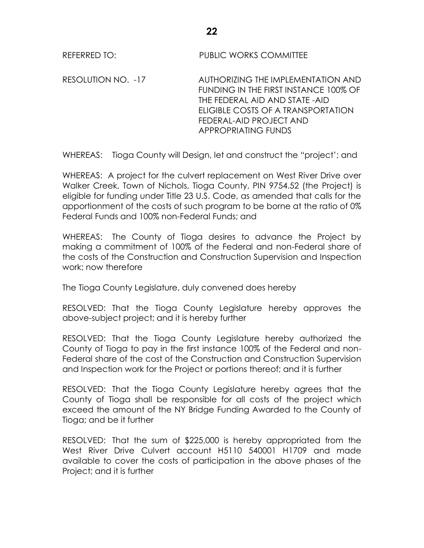REFERRED TO: PUBLIC WORKS COMMITTEE

RESOLUTION NO. -17 AUTHORIZING THE IMPLEMENTATION AND FUNDING IN THE FIRST INSTANCE 100% OF THE FEDERAL AID AND STATE -AID ELIGIBLE COSTS OF A TRANSPORTATION FEDERAL-AID PROJECT AND APPROPRIATING FUNDS

WHEREAS: Tioga County will Design, let and construct the "project'; and

WHEREAS: A project for the culvert replacement on West River Drive over Walker Creek, Town of Nichols, Tioga County, PIN 9754.52 (the Project) is eligible for funding under Title 23 U.S. Code, as amended that calls for the apportionment of the costs of such program to be borne at the ratio of 0% Federal Funds and 100% non-Federal Funds; and

WHEREAS: The County of Tioga desires to advance the Project by making a commitment of 100% of the Federal and non-Federal share of the costs of the Construction and Construction Supervision and Inspection work; now therefore

The Tioga County Legislature, duly convened does hereby

RESOLVED: That the Tioga County Legislature hereby approves the above-subject project; and it is hereby further

RESOLVED: That the Tioga County Legislature hereby authorized the County of Tioga to pay in the first instance 100% of the Federal and non-Federal share of the cost of the Construction and Construction Supervision and Inspection work for the Project or portions thereof; and it is further

RESOLVED: That the Tioga County Legislature hereby agrees that the County of Tioga shall be responsible for all costs of the project which exceed the amount of the NY Bridge Funding Awarded to the County of Tioga; and be it further

RESOLVED: That the sum of \$225,000 is hereby appropriated from the West River Drive Culvert account H5110 540001 H1709 and made available to cover the costs of participation in the above phases of the Project; and it is further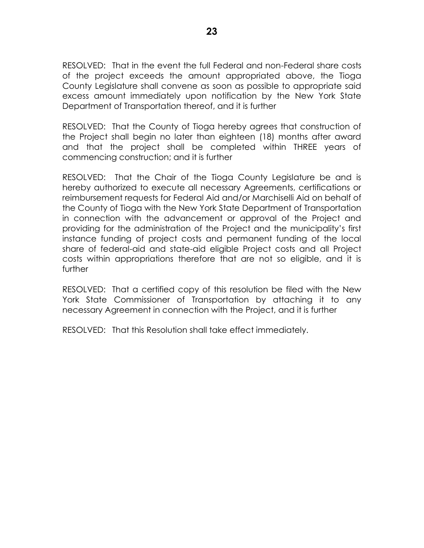RESOLVED: That in the event the full Federal and non-Federal share costs of the project exceeds the amount appropriated above, the Tioga County Legislature shall convene as soon as possible to appropriate said excess amount immediately upon notification by the New York State Department of Transportation thereof, and it is further

RESOLVED: That the County of Tioga hereby agrees that construction of the Project shall begin no later than eighteen (18) months after award and that the project shall be completed within THREE years of commencing construction; and it is further

RESOLVED: That the Chair of the Tioga County Legislature be and is hereby authorized to execute all necessary Agreements, certifications or reimbursement requests for Federal Aid and/or Marchiselli Aid on behalf of the County of Tioga with the New York State Department of Transportation in connection with the advancement or approval of the Project and providing for the administration of the Project and the municipality's first instance funding of project costs and permanent funding of the local share of federal-aid and state-aid eligible Project costs and all Project costs within appropriations therefore that are not so eligible, and it is further

RESOLVED: That a certified copy of this resolution be filed with the New York State Commissioner of Transportation by attaching it to any necessary Agreement in connection with the Project, and it is further

RESOLVED: That this Resolution shall take effect immediately.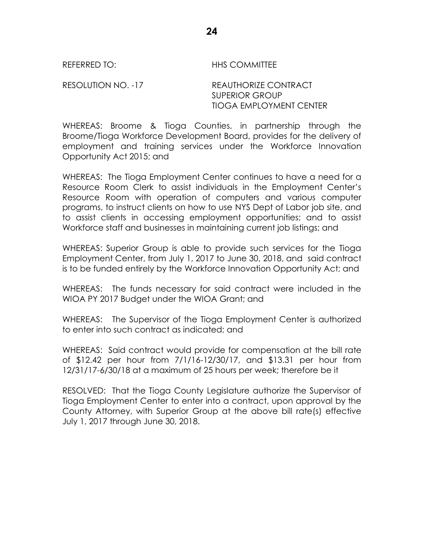REFERRED TO: THIS COMMITTEE

RESOLUTION NO. -17 REAUTHORIZE CONTRACT SUPERIOR GROUP TIOGA EMPLOYMENT CENTER

WHEREAS: Broome & Tioga Counties, in partnership through the Broome/Tioga Workforce Development Board, provides for the delivery of employment and training services under the Workforce Innovation Opportunity Act 2015; and

WHEREAS: The Tioga Employment Center continues to have a need for a Resource Room Clerk to assist individuals in the Employment Center's Resource Room with operation of computers and various computer programs, to instruct clients on how to use NYS Dept of Labor job site, and to assist clients in accessing employment opportunities; and to assist Workforce staff and businesses in maintaining current job listings; and

WHEREAS: Superior Group is able to provide such services for the Tioga Employment Center, from July 1, 2017 to June 30, 2018, and said contract is to be funded entirely by the Workforce Innovation Opportunity Act; and

WHEREAS: The funds necessary for said contract were included in the WIOA PY 2017 Budget under the WIOA Grant; and

WHEREAS: The Supervisor of the Tioga Employment Center is authorized to enter into such contract as indicated; and

WHEREAS: Said contract would provide for compensation at the bill rate of \$12.42 per hour from 7/1/16-12/30/17, and \$13.31 per hour from 12/31/17-6/30/18 at a maximum of 25 hours per week; therefore be it

RESOLVED: That the Tioga County Legislature authorize the Supervisor of Tioga Employment Center to enter into a contract, upon approval by the County Attorney, with Superior Group at the above bill rate(s) effective July 1, 2017 through June 30, 2018.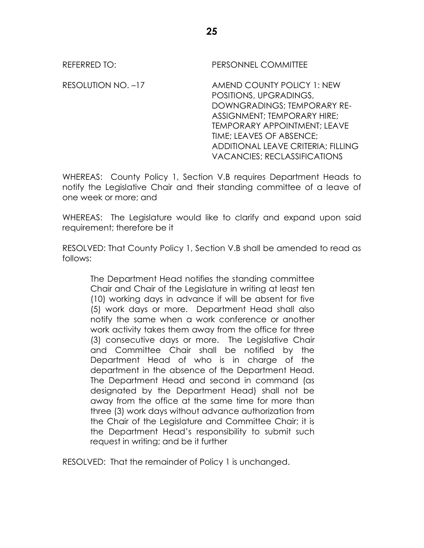REFERRED TO: PERSONNEL COMMITTEE RESOLUTION NO. –17 AMEND COUNTY POLICY 1: NEW POSITIONS, UPGRADINGS, DOWNGRADINGS; TEMPORARY RE-ASSIGNMENT; TEMPORARY HIRE; TEMPORARY APPOINTMENT; LEAVE TIME; LEAVES OF ABSENCE; ADDITIONAL LEAVE CRITERIA; FILLING VACANCIES; RECLASSIFICATIONS

WHEREAS: County Policy 1, Section V.B requires Department Heads to notify the Legislative Chair and their standing committee of a leave of one week or more; and

WHEREAS: The Legislature would like to clarify and expand upon said requirement; therefore be it

RESOLVED: That County Policy 1, Section V.B shall be amended to read as follows:

The Department Head notifies the standing committee Chair and Chair of the Legislature in writing at least ten (10) working days in advance if will be absent for five (5) work days or more. Department Head shall also notify the same when a work conference or another work activity takes them away from the office for three (3) consecutive days or more. The Legislative Chair and Committee Chair shall be notified by the Department Head of who is in charge of the department in the absence of the Department Head. The Department Head and second in command (as designated by the Department Head) shall not be away from the office at the same time for more than three (3) work days without advance authorization from the Chair of the Legislature and Committee Chair; it is the Department Head's responsibility to submit such request in writing; and be it further

RESOLVED: That the remainder of Policy 1 is unchanged.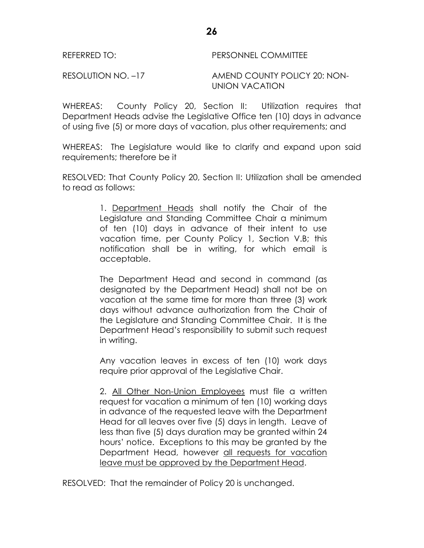WHEREAS: County Policy 20, Section II: Utilization requires that Department Heads advise the Legislative Office ten (10) days in advance of using five (5) or more days of vacation, plus other requirements; and

WHEREAS: The Legislature would like to clarify and expand upon said requirements; therefore be it

RESOLVED: That County Policy 20, Section II: Utilization shall be amended to read as follows:

> 1. Department Heads shall notify the Chair of the Legislature and Standing Committee Chair a minimum of ten (10) days in advance of their intent to use vacation time, per County Policy 1, Section V.B; this notification shall be in writing, for which email is acceptable.

> The Department Head and second in command (as designated by the Department Head) shall not be on vacation at the same time for more than three (3) work days without advance authorization from the Chair of the Legislature and Standing Committee Chair. It is the Department Head's responsibility to submit such request in writing.

> Any vacation leaves in excess of ten (10) work days require prior approval of the Legislative Chair.

> 2. All Other Non-Union Employees must file a written request for vacation a minimum of ten (10) working days in advance of the requested leave with the Department Head for all leaves over five (5) days in length. Leave of less than five (5) days duration may be granted within 24 hours' notice. Exceptions to this may be granted by the Department Head, however all requests for vacation leave must be approved by the Department Head.

RESOLVED: That the remainder of Policy 20 is unchanged.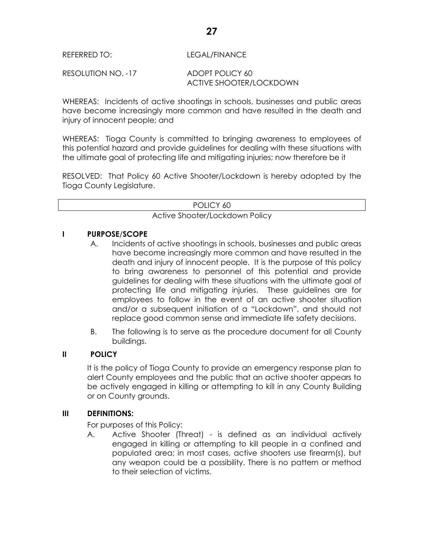## REFERRED TO: LEGAL/FINANCE

#### RESOLUTION NO. -17 ADOPT POLICY 60 ACTIVE SHOOTER/LOCKDOWN

WHEREAS: Incidents of active shootings in schools, businesses and public areas have become increasingly more common and have resulted in the death and injury of innocent people; and

WHEREAS: Tioga County is committed to bringing awareness to employees of this potential hazard and provide guidelines for dealing with these situations with the ultimate goal of protecting life and mitigating injuries; now therefore be it

RESOLVED: That Policy 60 Active Shooter/Lockdown is hereby adopted by the Tioga County Legislature.

POLICY 60

Active Shooter/Lockdown Policy

#### **I PURPOSE**/**SCOPE**

- A. Incidents of active shootings in schools, businesses and public areas have become increasingly more common and have resulted in the death and injury of innocent people. It is the purpose of this policy to bring awareness to personnel of this potential and provide guidelines for dealing with these situations with the ultimate goal of protecting life and mitigating injuries. These guidelines are for employees to follow in the event of an active shooter situation and/or a subsequent initiation of a "Lockdown", and should not replace good common sense and immediate life safety decisions.
- B. The following is to serve as the procedure document for all County buildings.

## **II POLICY**

It is the policy of Tioga County to provide an emergency response plan to alert County employees and the public that an active shooter appears to be actively engaged in killing or attempting to kill in any County Building or on County grounds.

#### **III DEFINITIONS:**

For purposes of this Policy:

A. Active Shooter (Threat) - is defined as an individual actively engaged in killing or attempting to kill people in a confined and populated area; in most cases, active shooters use firearm(s), but any weapon could be a possibility. There is no pattern or method to their selection of victims.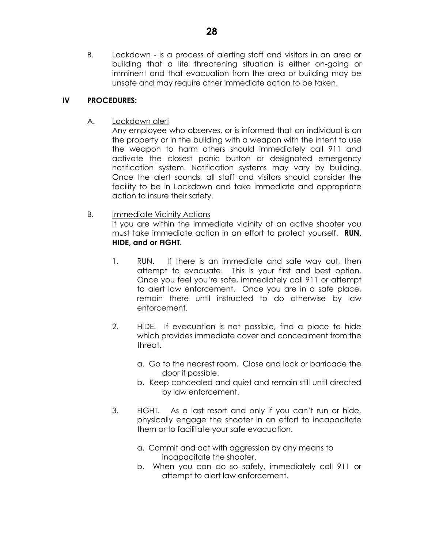B. Lockdown - is a process of alerting staff and visitors in an area or building that a life threatening situation is either on-going or imminent and that evacuation from the area or building may be unsafe and may require other immediate action to be taken.

#### **IV PROCEDURES:**

A. Lockdown alert

Any employee who observes, or is informed that an individual is on the property or in the building with a weapon with the intent to use the weapon to harm others should immediately call 911 and activate the closest panic button or designated emergency notification system. Notification systems may vary by building. Once the alert sounds, all staff and visitors should consider the facility to be in Lockdown and take immediate and appropriate action to insure their safety.

B. Immediate Vicinity Actions

If you are within the immediate vicinity of an active shooter you must take immediate action in an effort to protect yourself. **RUN, HIDE, and or FIGHT.**

- 1. RUN. If there is an immediate and safe way out, then attempt to evacuate. This is your first and best option. Once you feel you're safe, immediately call 911 or attempt to alert law enforcement. Once you are in a safe place, remain there until instructed to do otherwise by law enforcement.
- 2. HIDE. If evacuation is not possible, find a place to hide which provides immediate cover and concealment from the threat.
	- a. Go to the nearest room. Close and lock or barricade the door if possible.
	- b. Keep concealed and quiet and remain still until directed by law enforcement.
- 3. FIGHT. As a last resort and only if you can't run or hide, physically engage the shooter in an effort to incapacitate them or to facilitate your safe evacuation.
	- a. Commit and act with aggression by any means to incapacitate the shooter.
	- b. When you can do so safely, immediately call 911 or attempt to alert law enforcement.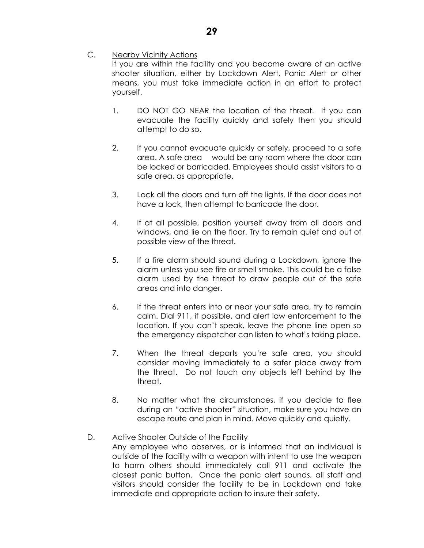C. Nearby Vicinity Actions

If you are within the facility and you become aware of an active shooter situation, either by Lockdown Alert, Panic Alert or other means, you must take immediate action in an effort to protect yourself.

- 1. DO NOT GO NEAR the location of the threat. If you can evacuate the facility quickly and safely then you should attempt to do so.
- 2. If you cannot evacuate quickly or safely, proceed to a safe area. A safe area would be any room where the door can be locked or barricaded. Employees should assist visitors to a safe area, as appropriate.
- 3. Lock all the doors and turn off the lights. If the door does not have a lock, then attempt to barricade the door.
- 4. If at all possible, position yourself away from all doors and windows, and lie on the floor. Try to remain quiet and out of possible view of the threat.
- 5. If a fire alarm should sound during a Lockdown, ignore the alarm unless you see fire or smell smoke. This could be a false alarm used by the threat to draw people out of the safe areas and into danger.
- 6. If the threat enters into or near your safe area, try to remain calm. Dial 911, if possible, and alert law enforcement to the location. If you can't speak, leave the phone line open so the emergency dispatcher can listen to what's taking place.
- 7. When the threat departs you're safe area, you should consider moving immediately to a safer place away from the threat. Do not touch any objects left behind by the threat.
- 8. No matter what the circumstances, if you decide to flee during an "active shooter" situation, make sure you have an escape route and plan in mind. Move quickly and quietly.
- D. Active Shooter Outside of the Facility

Any employee who observes, or is informed that an individual is outside of the facility with a weapon with intent to use the weapon to harm others should immediately call 911 and activate the closest panic button. Once the panic alert sounds, all staff and visitors should consider the facility to be in Lockdown and take immediate and appropriate action to insure their safety.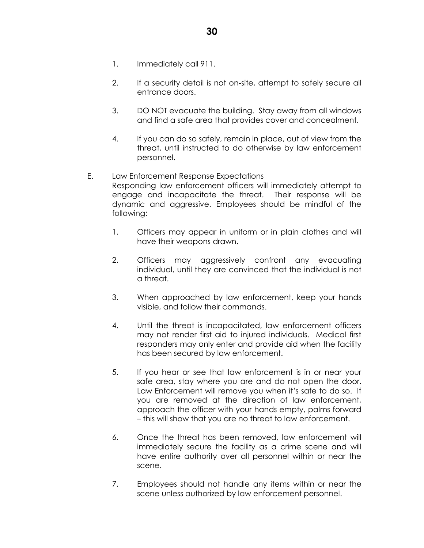- 1. Immediately call 911.
- 2. If a security detail is not on-site, attempt to safely secure all entrance doors.
- 3. DO NOT evacuate the building. Stay away from all windows and find a safe area that provides cover and concealment.
- 4. If you can do so safely, remain in place, out of view from the threat, until instructed to do otherwise by law enforcement personnel.

#### E. Law Enforcement Response Expectations Responding law enforcement officers will immediately attempt to engage and incapacitate the threat. Their response will be dynamic and aggressive. Employees should be mindful of the following:

- 1. Officers may appear in uniform or in plain clothes and will have their weapons drawn.
- 2. Officers may aggressively confront any evacuating individual, until they are convinced that the individual is not a threat.
- 3. When approached by law enforcement, keep your hands visible, and follow their commands.
- 4. Until the threat is incapacitated, law enforcement officers may not render first aid to injured individuals. Medical first responders may only enter and provide aid when the facility has been secured by law enforcement.
- 5. If you hear or see that law enforcement is in or near your safe area, stay where you are and do not open the door. Law Enforcement will remove you when it's safe to do so. If you are removed at the direction of law enforcement, approach the officer with your hands empty, palms forward – this will show that you are no threat to law enforcement.
- 6. Once the threat has been removed, law enforcement will immediately secure the facility as a crime scene and will have entire authority over all personnel within or near the scene.
- 7. Employees should not handle any items within or near the scene unless authorized by law enforcement personnel.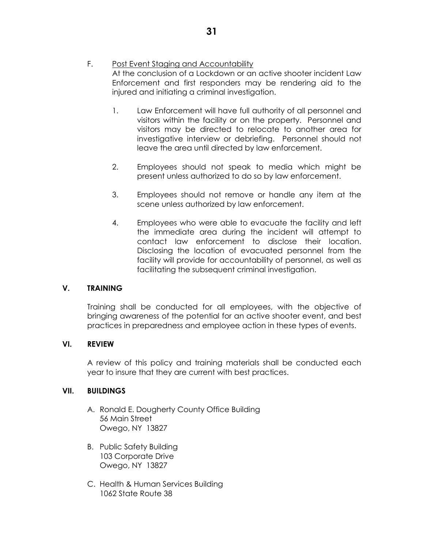- F. Post Event Staging and Accountability At the conclusion of a Lockdown or an active shooter incident Law Enforcement and first responders may be rendering aid to the injured and initiating a criminal investigation.
	- 1. Law Enforcement will have full authority of all personnel and visitors within the facility or on the property. Personnel and visitors may be directed to relocate to another area for investigative interview or debriefing. Personnel should not leave the area until directed by law enforcement.
	- 2. Employees should not speak to media which might be present unless authorized to do so by law enforcement.
	- 3. Employees should not remove or handle any item at the scene unless authorized by law enforcement.
	- 4. Employees who were able to evacuate the facility and left the immediate area during the incident will attempt to contact law enforcement to disclose their location. Disclosing the location of evacuated personnel from the facility will provide for accountability of personnel, as well as facilitating the subsequent criminal investigation.

#### **V. TRAINING**

Training shall be conducted for all employees, with the objective of bringing awareness of the potential for an active shooter event, and best practices in preparedness and employee action in these types of events.

#### **VI. REVIEW**

A review of this policy and training materials shall be conducted each year to insure that they are current with best practices.

#### **VII. BUILDINGS**

- A. Ronald E. Dougherty County Office Building 56 Main Street Owego, NY 13827
- B. Public Safety Building 103 Corporate Drive Owego, NY 13827
- C. Health & Human Services Building 1062 State Route 38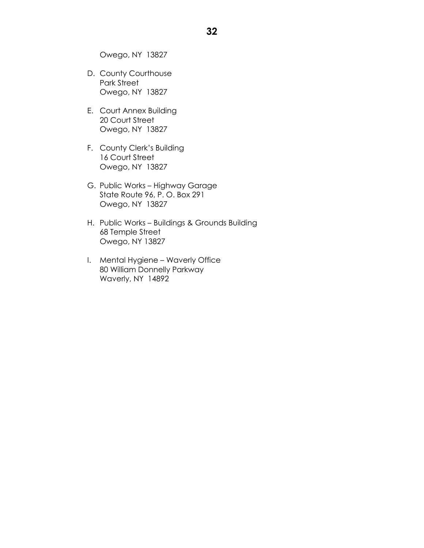Owego, NY 13827

- D. County Courthouse Park Street Owego, NY 13827
- E. Court Annex Building 20 Court Street Owego, NY 13827
- F. County Clerk's Building 16 Court Street Owego, NY 13827
- G. Public Works Highway Garage State Route 96, P. O. Box 291 Owego, NY 13827
- H. Public Works Buildings & Grounds Building 68 Temple Street Owego, NY 13827
- I. Mental Hygiene Waverly Office 80 William Donnelly Parkway Waverly, NY 14892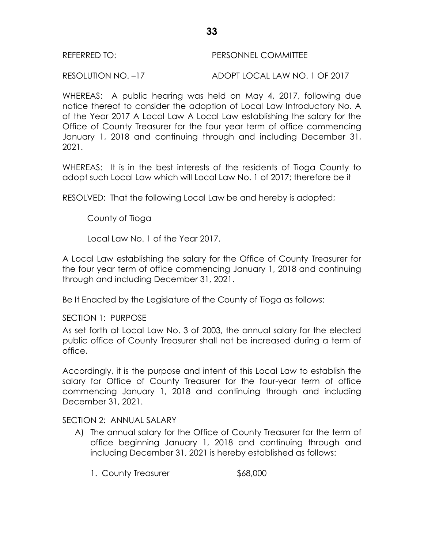RESOLUTION NO. –17 ADOPT LOCAL LAW NO. 1 OF 2017

WHEREAS: A public hearing was held on May 4, 2017, following due notice thereof to consider the adoption of Local Law Introductory No. A of the Year 2017 A Local Law A Local Law establishing the salary for the Office of County Treasurer for the four year term of office commencing January 1, 2018 and continuing through and including December 31, 2021.

WHEREAS: It is in the best interests of the residents of Tioga County to adopt such Local Law which will Local Law No. 1 of 2017; therefore be it

RESOLVED: That the following Local Law be and hereby is adopted;

County of Tioga

Local Law No. 1 of the Year 2017.

A Local Law establishing the salary for the Office of County Treasurer for the four year term of office commencing January 1, 2018 and continuing through and including December 31, 2021.

Be It Enacted by the Legislature of the County of Tioga as follows:

SECTION 1: PURPOSE

As set forth at Local Law No. 3 of 2003, the annual salary for the elected public office of County Treasurer shall not be increased during a term of office.

Accordingly, it is the purpose and intent of this Local Law to establish the salary for Office of County Treasurer for the four-year term of office commencing January 1, 2018 and continuing through and including December 31, 2021.

## SECTION 2: ANNUAL SALARY

- A) The annual salary for the Office of County Treasurer for the term of office beginning January 1, 2018 and continuing through and including December 31, 2021 is hereby established as follows:
	- 1. County Treasurer \$68,000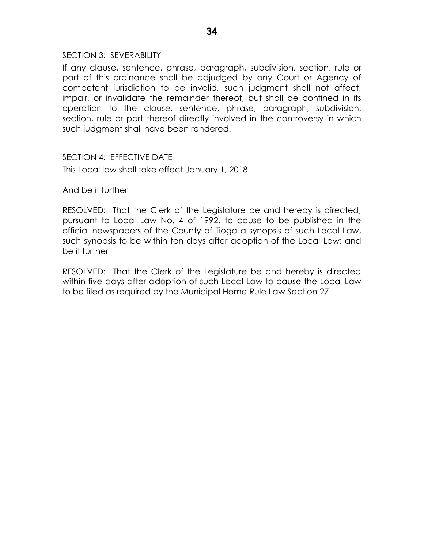#### SECTION 3: SEVERABILITY

If any clause, sentence, phrase, paragraph, subdivision, section, rule or part of this ordinance shall be adjudged by any Court or Agency of competent jurisdiction to be invalid, such judgment shall not affect, impair, or invalidate the remainder thereof, but shall be confined in its operation to the clause, sentence, phrase, paragraph, subdivision, section, rule or part thereof directly involved in the controversy in which such judgment shall have been rendered.

## SECTION 4: EFFECTIVE DATE

This Local law shall take effect January 1, 2018.

And be it further

RESOLVED: That the Clerk of the Legislature be and hereby is directed, pursuant to Local Law No. 4 of 1992, to cause to be published in the official newspapers of the County of Tioga a synopsis of such Local Law, such synopsis to be within ten days after adoption of the Local Law; and be it further

RESOLVED: That the Clerk of the Legislature be and hereby is directed within five days after adoption of such Local Law to cause the Local Law to be filed as required by the Municipal Home Rule Law Section 27.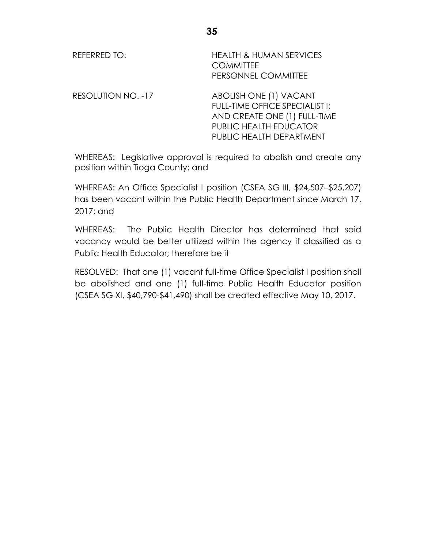| <b>REFERRED TO:</b>       | <b>HEALTH &amp; HUMAN SERVICES</b><br><b>COMMITTEE</b><br>PERSONNEL COMMITTEE                                                                  |
|---------------------------|------------------------------------------------------------------------------------------------------------------------------------------------|
| <b>RESOLUTION NO. -17</b> | ABOLISH ONE (1) VACANT<br>FULL-TIME OFFICE SPECIALIST I:<br>AND CREATE ONE (1) FULL-TIME<br>PUBLIC HEALTH EDUCATOR<br>PUBLIC HEALTH DEPARTMENT |

WHEREAS: Legislative approval is required to abolish and create any position within Tioga County; and

WHEREAS: An Office Specialist I position (CSEA SG III, \$24,507–\$25,207) has been vacant within the Public Health Department since March 17, 2017; and

WHEREAS: The Public Health Director has determined that said vacancy would be better utilized within the agency if classified as a Public Health Educator; therefore be it

RESOLVED: That one (1) vacant full-time Office Specialist I position shall be abolished and one (1) full-time Public Health Educator position (CSEA SG XI, \$40,790-\$41,490) shall be created effective May 10, 2017.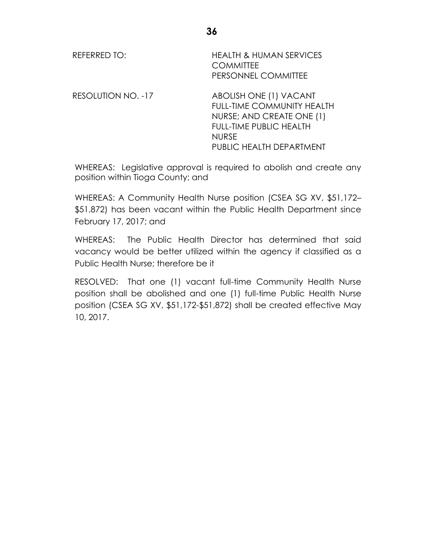| REFERRED TO:              | <b>HEALTH &amp; HUMAN SERVICES</b><br><b>COMMITTEE</b><br>PERSONNEL COMMITTEE                                                                                          |
|---------------------------|------------------------------------------------------------------------------------------------------------------------------------------------------------------------|
| <b>RESOLUTION NO. -17</b> | ABOLISH ONE (1) VACANT<br><b>FULL-TIME COMMUNITY HEALTH</b><br>NURSE; AND CREATE ONE (1)<br><b>FULL-TIME PUBLIC HEALTH</b><br><b>NURSE</b><br>PUBLIC HEALTH DEPARTMENT |

WHEREAS: Legislative approval is required to abolish and create any position within Tioga County; and

WHEREAS: A Community Health Nurse position (CSEA SG XV, \$51,172– \$51,872) has been vacant within the Public Health Department since February 17, 2017; and

WHEREAS: The Public Health Director has determined that said vacancy would be better utilized within the agency if classified as a Public Health Nurse; therefore be it

RESOLVED: That one (1) vacant full-time Community Health Nurse position shall be abolished and one (1) full-time Public Health Nurse position (CSEA SG XV, \$51,172-\$51,872) shall be created effective May 10, 2017.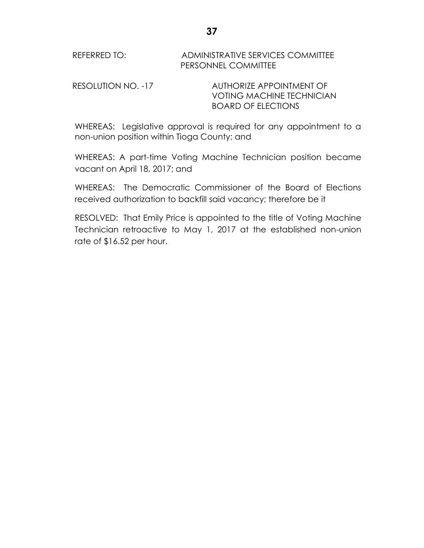RESOLUTION NO. -17 AUTHORIZE APPOINTMENT OF VOTING MACHINE TECHNICIAN BOARD OF ELECTIONS

WHEREAS: Legislative approval is required for any appointment to a non-union position within Tioga County; and

WHEREAS: A part-time Voting Machine Technician position became vacant on April 18, 2017; and

WHEREAS: The Democratic Commissioner of the Board of Elections received authorization to backfill said vacancy; therefore be it

RESOLVED: That Emily Price is appointed to the title of Voting Machine Technician retroactive to May 1, 2017 at the established non-union rate of \$16.52 per hour.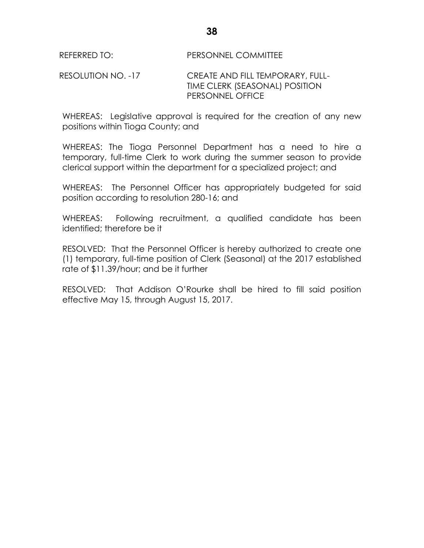## RESOLUTION NO. -17 CREATE AND FILL TEMPORARY, FULL-TIME CLERK (SEASONAL) POSITION PERSONNEL OFFICE

WHEREAS: Legislative approval is required for the creation of any new positions within Tioga County; and

WHEREAS: The Tioga Personnel Department has a need to hire a temporary, full-time Clerk to work during the summer season to provide clerical support within the department for a specialized project; and

WHEREAS: The Personnel Officer has appropriately budgeted for said position according to resolution 280-16; and

WHEREAS: Following recruitment, a qualified candidate has been identified; therefore be it

RESOLVED: That the Personnel Officer is hereby authorized to create one (1) temporary, full-time position of Clerk (Seasonal) at the 2017 established rate of \$11.39/hour; and be it further

RESOLVED: That Addison O'Rourke shall be hired to fill said position effective May 15, through August 15, 2017.